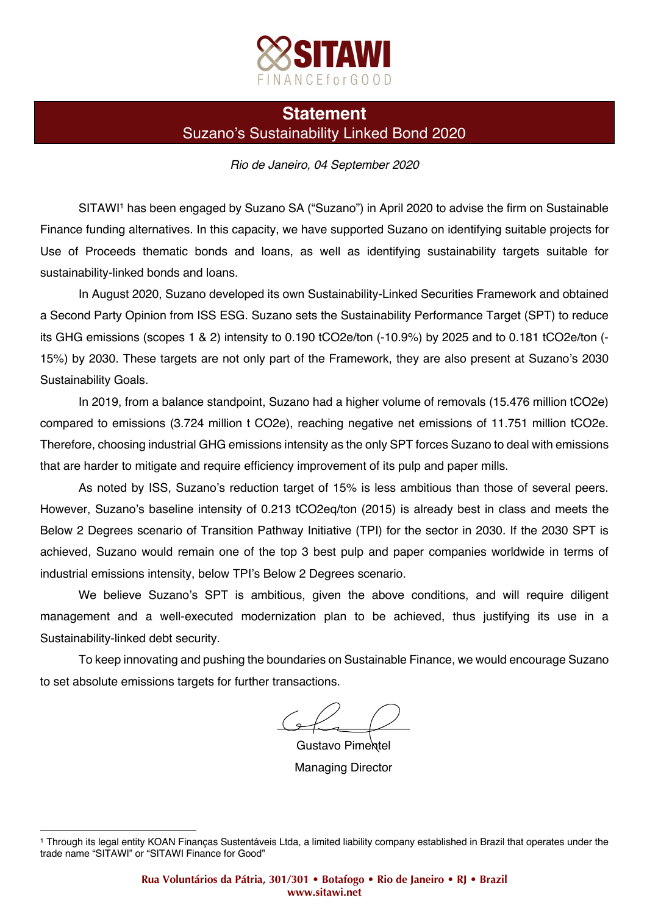

## **Statement** Suzano's Sustainability Linked Bond 2020

## *Rio de Janeiro, 04 September 2020*

SITAWI<sup>1</sup> has been engaged by Suzano SA ("Suzano") in April 2020 to advise the firm on Sustainable Finance funding alternatives. In this capacity, we have supported Suzano on identifying suitable projects for Use of Proceeds thematic bonds and loans, as well as identifying sustainability targets suitable for sustainability-linked bonds and loans.

In August 2020, Suzano developed its own Sustainability-Linked Securities Framework and obtained a Second Party Opinion from ISS ESG. Suzano sets the Sustainability Performance Target (SPT) to reduce its GHG emissions (scopes 1 & 2) intensity to 0.190 tCO2e/ton (-10.9%) by 2025 and to 0.181 tCO2e/ton (- 15%) by 2030. These targets are not only part of the Framework, they are also present at Suzano's 2030 Sustainability Goals.

In 2019, from a balance standpoint, Suzano had a higher volume of removals (15.476 million tCO2e) compared to emissions (3.724 million t CO2e), reaching negative net emissions of 11.751 million tCO2e. Therefore, choosing industrial GHG emissions intensity as the only SPT forces Suzano to deal with emissions that are harder to mitigate and require efficiency improvement of its pulp and paper mills.

As noted by ISS, Suzano's reduction target of 15% is less ambitious than those of several peers. However, Suzano's baseline intensity of 0.213 tCO2eq/ton (2015) is already best in class and meets the Below 2 Degrees scenario of Transition Pathway Initiative (TPI) for the sector in 2030. If the 2030 SPT is achieved, Suzano would remain one of the top 3 best pulp and paper companies worldwide in terms of industrial emissions intensity, below TPI's Below 2 Degrees scenario.

We believe Suzano's SPT is ambitious, given the above conditions, and will require diligent management and a well-executed modernization plan to be achieved, thus justifying its use in a Sustainability-linked debt security.

To keep innovating and pushing the boundaries on Sustainable Finance, we would encourage Suzano to set absolute emissions targets for further transactions.

 $Q \sim 1$ 

Gustavo Pimentel Managing Director

 

<sup>1</sup> Through its legal entity KOAN Finanças Sustentáveis Ltda, a limited liability company established in Brazil that operates under the trade name "SITAWI" or "SITAWI Finance for Good"